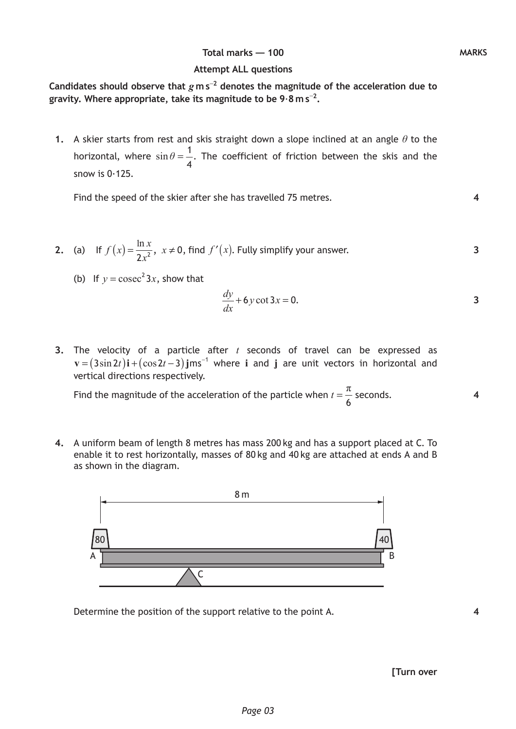## **Total marks — 100 MARKS**

## **Attempt ALL questions**

**Candidates should observe that** *g* **m s**−**<sup>2</sup> denotes the magnitude of the acceleration due to gravity. Where appropriate, take its magnitude to be 9**·**8 m s**−**<sup>2</sup> .**

 **1.** A skier starts from rest and skis straight down a slope inclined at an angle *θ* to the horizontal, where  $\sin \theta = \frac{1}{4}$ 4 . The coefficient of friction between the skis and the snow is  $0.125$ .

Find the speed of the skier after she has travelled 75 metres.

- **2.** (a) If  $f(x) = \frac{\ln x}{2a^2}, x$  $=\frac{m\pi}{2x^2}$ ,  $x \ne 0$ , find  $f'(x)$ . Fully simplify your answer. **3**
	- (b) If  $y = \csc^2 3x$ , show that

$$
\frac{dy}{dx} + 6y \cot 3x = 0.
$$

 **3.** The velocity of a particle after *t* seconds of travel can be expressed as  $\mathbf{v} = (3\sin 2t)\mathbf{i} + (\cos 2t - 3)\mathbf{j} \text{ms}^{-1}$  where **i** and **j** are unit vectors in horizontal and vertical directions respectively.

Find the magnitude of the acceleration of the particle when  $t = \frac{\pi}{6}$  seconds.

 **4.** A uniform beam of length 8 metres has mass 200 kg and has a support placed at C. To enable it to rest horizontally, masses of 80 kg and 40 kg are attached at ends A and B as shown in the diagram.



Determine the position of the support relative to the point A.

**[Turn over**

**4**

**4**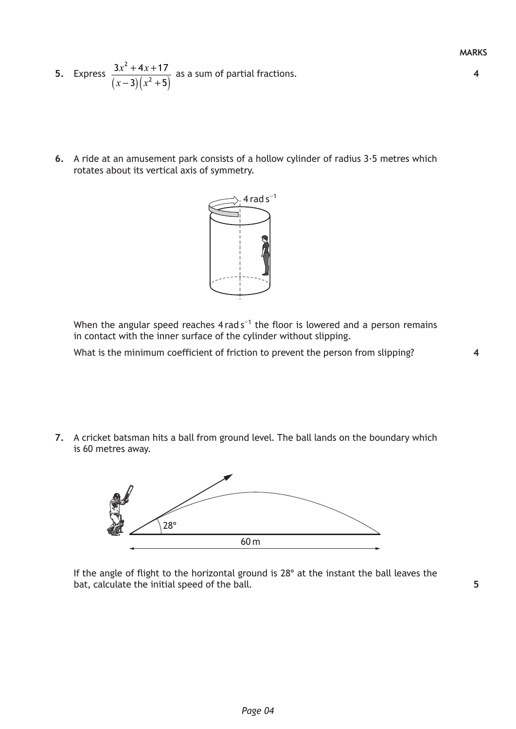- **5.** Express  $(x-3)(x^2+5)$  $x^2 + 4x$  $(x-3)(x)$  $+$  4x +  $( -3)(x^2 +$ 2 2  $3x^2 + 4x + 17$  $3(x^2+5)$ as a sum of partial fractions.
- **6.** A ride at an amusement park consists of a hollow cylinder of radius 3·5 metres which rotates about its vertical axis of symmetry.



When the angular speed reaches  $4$  rad s<sup>-1</sup> the floor is lowered and a person remains in contact with the inner surface of the cylinder without slipping.

What is the minimum coefficient of friction to prevent the person from slipping?

**7.** A cricket batsman hits a ball from ground level. The ball lands on the boundary which is 60 metres away.



If the angle of flight to the horizontal ground is 28° at the instant the ball leaves the bat, calculate the initial speed of the ball.

**5**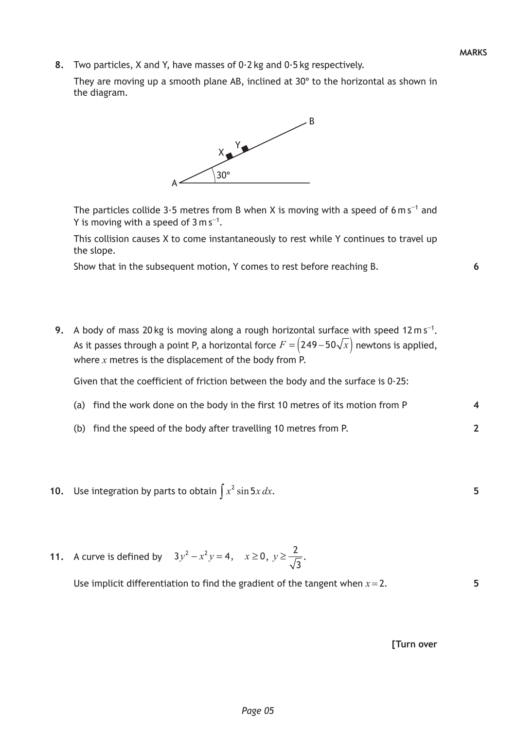**4**

**2**

**5**

**5**

 **8.** Two particles, X and Y, have masses of 0·2 kg and 0·5 kg respectively.

They are moving up a smooth plane AB, inclined at 30° to the horizontal as shown in the diagram.



The particles collide 3 $\cdot$ 5 metres from B when X is moving with a speed of 6 m s<sup>-1</sup> and Y is moving with a speed of  $3 \text{ m s}^{-1}$ .

This collision causes X to come instantaneously to rest while Y continues to travel up the slope.

Show that in the subsequent motion, Y comes to rest before reaching B.

9. A body of mass 20 kg is moving along a rough horizontal surface with speed 12 m s<sup>-1</sup>. As it passes through a point P, a horizontal force  $F = (249 - 50\sqrt{x})$  newtons is applied, where *x* metres is the displacement of the body from P.

Given that the coefficient of friction between the body and the surface is  $0.25$ :

- (a) find the work done on the body in the first 10 metres of its motion from P
- (b) find the speed of the body after travelling 10 metres from P.
- **10.** Use integration by parts to obtain  $\int x^2 \sin 5x \, dx$ .
- **11.** A curve is defined by  $3y^2 x^2y = 4$ ,  $x \ge 0$ ,  $y \ge \frac{2}{\sqrt{3}}$ .

Use implicit differentiation to find the gradient of the tangent when  $x = 2$ .

**[Turn over**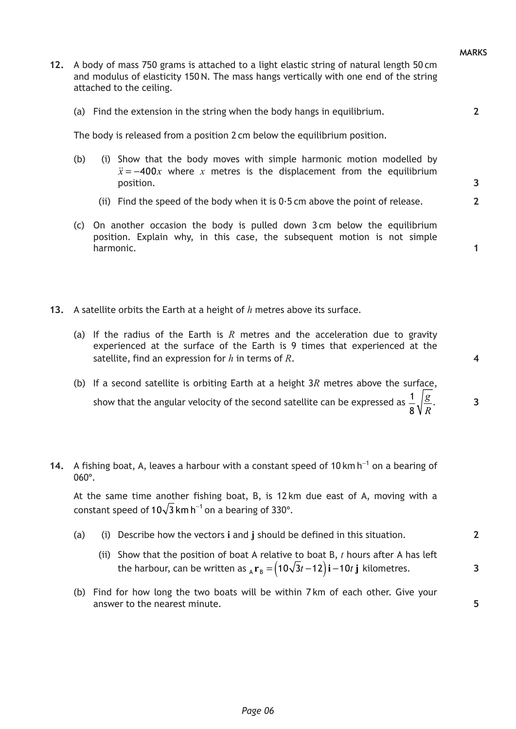**3**

**2**

**1**

- **12.** A body of mass 750 grams is attached to a light elastic string of natural length 50 cm and modulus of elasticity 150N. The mass hangs vertically with one end of the string attached to the ceiling.
	- (a) Find the extension in the string when the body hangs in equilibrium.

The body is released from a position 2 cm below the equilibrium position.

- (b) (i) Show that the body moves with simple harmonic motion modelled by  $\ddot{x} = -400x$  where *x* metres is the displacement from the equilibrium position.
	- (ii) Find the speed of the body when it is  $0.5$  cm above the point of release.
- (c) On another occasion the body is pulled down 3 cm below the equilibrium position. Explain why, in this case, the subsequent motion is not simple harmonic.

**13.** A satellite orbits the Earth at a height of *h* metres above its surface.

- (a) If the radius of the Earth is *R* metres and the acceleration due to gravity experienced at the surface of the Earth is 9 times that experienced at the satellite, find an expression for *h* in terms of *R*.
- (b) If a second satellite is orbiting Earth at a height 3*R* metres above the surface, show that the angular velocity of the second satellite can be expressed as  $\frac{1}{2}$ *R*  $rac{1}{8}\sqrt{\frac{g}{R}}$ .
- **14.** A fishing boat, A, leaves a harbour with a constant speed of 10 km h<sup>-1</sup> on a bearing of 060°.

At the same time another fishing boat, B, is 12 km due east of A, moving with a constant speed of  $10\sqrt{3}$  km h<sup>-1</sup> on a bearing of 330°.

- (a) (i) Describe how the vectors **i** and **j** should be defined in this situation.
	- (ii) Show that the position of boat A relative to boat B, *t* hours after A has left the harbour, can be written as  $_{\text{A}}$ **r**<sub>B</sub> =  $(10\sqrt{3}t-12)\mathbf{i}-10t\mathbf{j}$  kilometres.
- (b) Find for how long the two boats will be within 7 km of each other. Give your answer to the nearest minute.

**5**

**2**

**3**

**4**